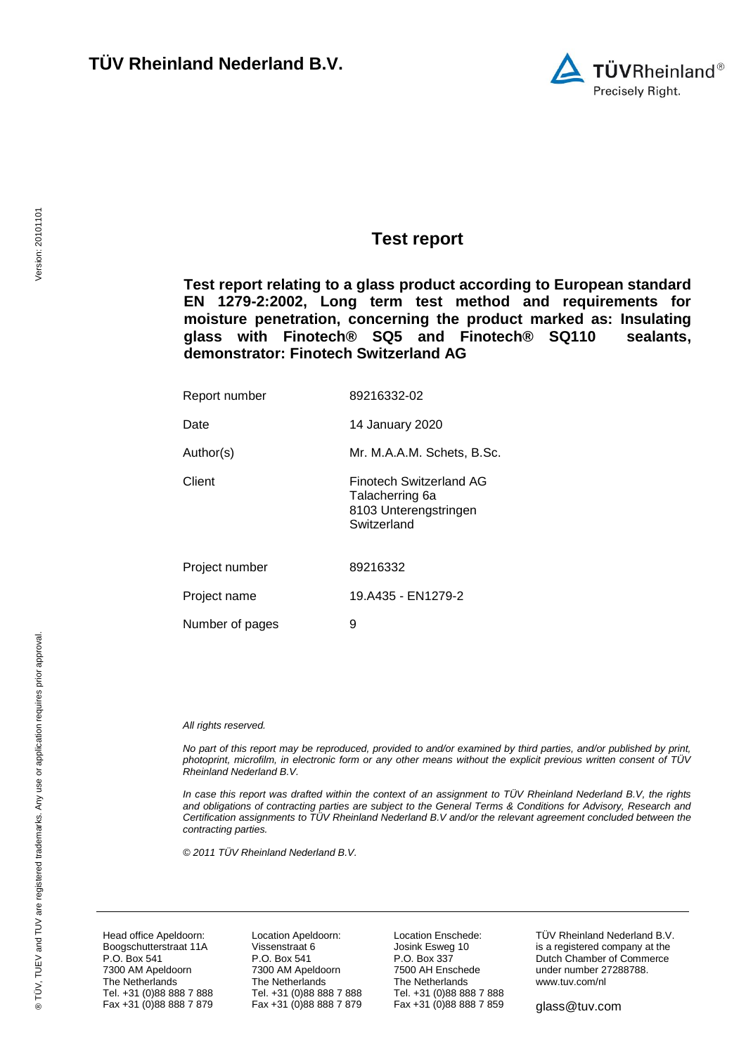

### <span id="page-0-7"></span><span id="page-0-0"></span>**Test report**

<span id="page-0-8"></span>**Test report relating to a glass product according to European standard EN 1279-2:2002, Long term test method and requirements for moisture penetration, concerning the product marked as: Insulating glass with Finotech® SQ5 and Finotech® SQ110 sealants, demonstrator: Finotech Switzerland AG**

<span id="page-0-9"></span><span id="page-0-6"></span><span id="page-0-5"></span><span id="page-0-4"></span><span id="page-0-3"></span><span id="page-0-1"></span>

| Report number   | 89216332-02                                                                               |
|-----------------|-------------------------------------------------------------------------------------------|
| Date            | 14 January 2020                                                                           |
| Author(s)       | Mr. M.A.A.M. Schets, B.Sc.                                                                |
| Client          | <b>Finotech Switzerland AG</b><br>Talacherring 6a<br>8103 Unterengstringen<br>Switzerland |
| Project number  | 89216332                                                                                  |
| Project name    | 19.A435 - EN1279-2                                                                        |
| Number of pages | 9                                                                                         |

#### <span id="page-0-2"></span>*All rights reserved.*

*No part of this report may be reproduced, provided to and/or examined by third parties, and/or published by print, photoprint, microfilm, in electronic form or any other means without the explicit previous written consent of TÜV Rheinland Nederland B.V.*

*In case this report was drafted within the context of an assignment to TÜV Rheinland Nederland B.V, the rights and obligations of contracting parties are subject to the General Terms & Conditions for Advisory, Research and Certification assignments to TÜV Rheinland Nederland B.V and/or the relevant agreement concluded between the contracting parties.* 

*© 2011 TÜV Rheinland Nederland B.V.*

Head office Apeldoorn: Boogschutterstraat 11A P.O. Box 541 7300 AM Apeldoorn The Netherlands Tel. +31 (0)88 888 7 888 Fax +31 (0)88 888 7 879 Location Apeldoorn: Vissenstraat 6 P.O. Box 541 7300 AM Apeldoorn The Netherlands Tel. +31 (0)88 888 7 888 Fax +31 (0)88 888 7 879 Location Enschede: Josink Esweg 10 P.O. Box 337 7500 AH Enschede The Netherlands Tel. +31 (0)88 888 7 888 Fax +31 (0)88 888 7 859 TÜV Rheinland Nederland B.V. is a registered company at the Dutch Chamber of Commerce under number 27288788. [www.tuv.com/nl](http://www.tuv.com/nl)

glass@tuv.com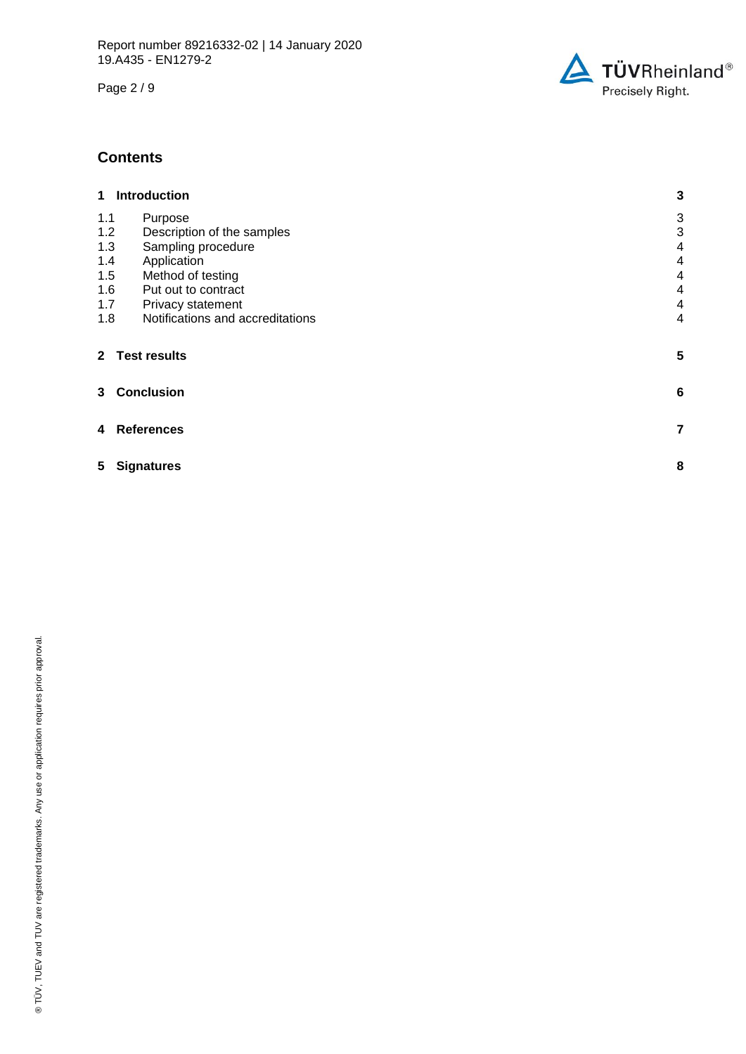Page 2 / 9



### **Contents**

| 1   | <b>Introduction</b>                            | 3              |  |  |  |
|-----|------------------------------------------------|----------------|--|--|--|
| 1.1 | Purpose                                        | 3              |  |  |  |
| 1.2 | Description of the samples                     | 3              |  |  |  |
|     | 1.3<br>Sampling procedure                      |                |  |  |  |
| 1.4 | Application                                    |                |  |  |  |
| 1.5 | Method of testing<br>4                         |                |  |  |  |
| 1.6 | $\overline{\mathbf{4}}$<br>Put out to contract |                |  |  |  |
| 1.7 | Privacy statement                              |                |  |  |  |
| 1.8 | Notifications and accreditations               | $\overline{4}$ |  |  |  |
|     | 2 Test results                                 | 5              |  |  |  |
| 3   | <b>Conclusion</b>                              | 6              |  |  |  |
| 4   | <b>References</b>                              | 7              |  |  |  |
| 5.  | 8<br><b>Signatures</b>                         |                |  |  |  |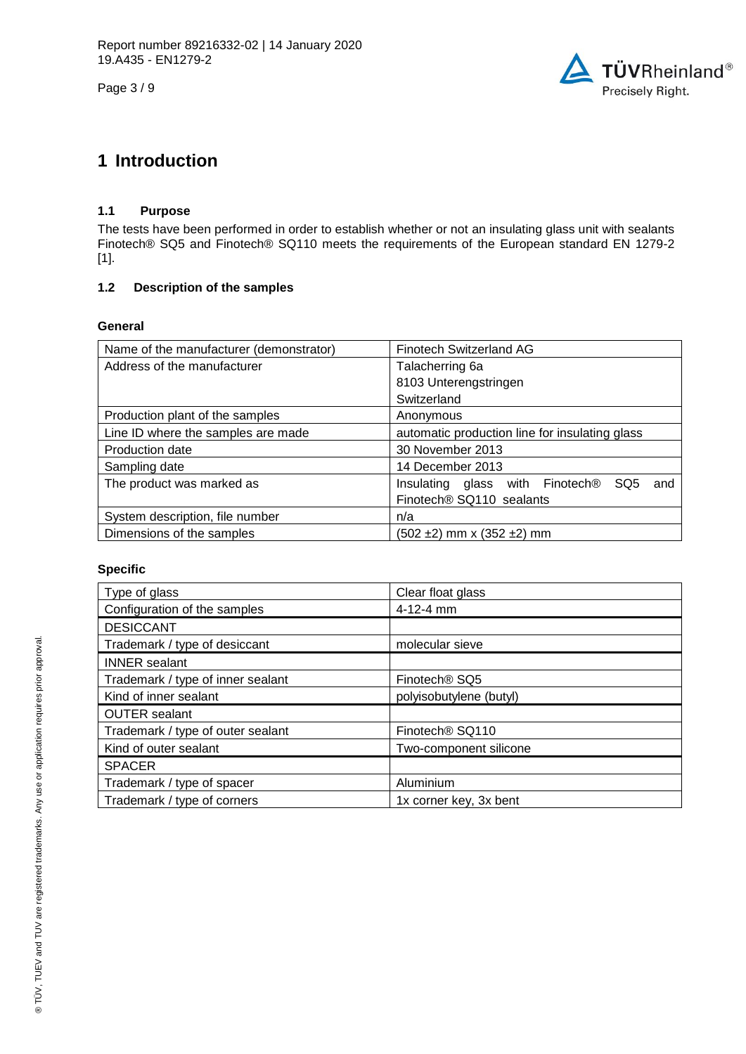Page 3 / 9



## **1 Introduction**

#### **1.1 Purpose**

The tests have been performed in order to establish whether or not an insulating glass unit with sealants Finotech® SQ5 and Finotech® SQ110 meets the requirements of the European standard EN 1279-2 [1].

### **1.2 Description of the samples**

#### **General**

| Name of the manufacturer (demonstrator) | <b>Finotech Switzerland AG</b>                            |
|-----------------------------------------|-----------------------------------------------------------|
| Address of the manufacturer             | Talacherring 6a                                           |
|                                         | 8103 Unterengstringen                                     |
|                                         | Switzerland                                               |
| Production plant of the samples         | Anonymous                                                 |
| Line ID where the samples are made      | automatic production line for insulating glass            |
| Production date                         | 30 November 2013                                          |
| Sampling date                           | 14 December 2013                                          |
| The product was marked as               | SQ <sub>5</sub><br>Insulating glass with Finotech®<br>and |
|                                         | Finotech® SQ110 sealants                                  |
| System description, file number         | n/a                                                       |
| Dimensions of the samples               | (502 ±2) mm x (352 ±2) mm                                 |

#### <span id="page-2-2"></span>**Specific**

<span id="page-2-1"></span><span id="page-2-0"></span>

| Type of glass                     | Clear float glass           |
|-----------------------------------|-----------------------------|
| Configuration of the samples      | 4-12-4 mm                   |
| <b>DESICCANT</b>                  |                             |
| Trademark / type of desiccant     | molecular sieve             |
| <b>INNER</b> sealant              |                             |
| Trademark / type of inner sealant | Finotech <sup>®</sup> SQ5   |
| Kind of inner sealant             | polyisobutylene (butyl)     |
| <b>OUTER</b> sealant              |                             |
| Trademark / type of outer sealant | Finotech <sup>®</sup> SQ110 |
| Kind of outer sealant             | Two-component silicone      |
| <b>SPACER</b>                     |                             |
| Trademark / type of spacer        | Aluminium                   |
| Trademark / type of corners       | 1x corner key, 3x bent      |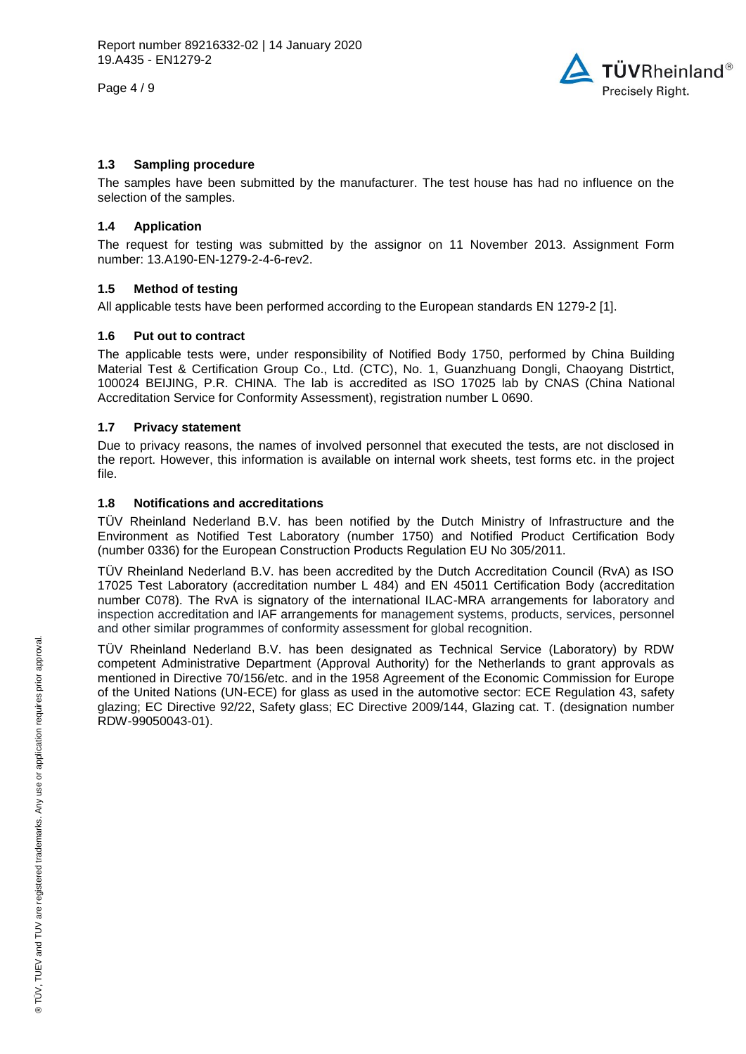Page 4 / 9



#### **1.3 Sampling procedure**

The samples have been submitted by the manufacturer. The test house has had no influence on the selection of the samples.

#### **1.4 Application**

The request for testing was submitted by the assignor on 11 November 2013. Assignment Form number: 13.A190-EN-1279-2-4-6-rev2.

#### **1.5 Method of testing**

All applicable tests have been performed according to the European standards EN 1279-2 [1].

#### **1.6 Put out to contract**

The applicable tests were, under responsibility of Notified Body 1750, performed by China Building Material Test & Certification Group Co., Ltd. (CTC), No. 1, Guanzhuang Dongli, Chaoyang Distrtict, 100024 BEIJING, P.R. CHINA. The lab is accredited as ISO 17025 lab by CNAS (China National Accreditation Service for Conformity Assessment), registration number L 0690.

#### **1.7 Privacy statement**

Due to privacy reasons, the names of involved personnel that executed the tests, are not disclosed in the report. However, this information is available on internal work sheets, test forms etc. in the project file.

#### **1.8 Notifications and accreditations**

TÜV Rheinland Nederland B.V. has been notified by the Dutch Ministry of Infrastructure and the Environment as Notified Test Laboratory (number 1750) and Notified Product Certification Body (number 0336) for the European Construction Products Regulation EU No 305/2011.

TÜV Rheinland Nederland B.V. has been accredited by the Dutch Accreditation Council (RvA) as ISO 17025 Test Laboratory (accreditation number L 484) and EN 45011 Certification Body (accreditation number C078). The RvA is signatory of the international ILAC-MRA arrangements for laboratory and inspection accreditation and IAF arrangements for management systems, products, services, personnel and other similar programmes of conformity assessment for global recognition.

TÜV Rheinland Nederland B.V. has been designated as Technical Service (Laboratory) by RDW competent Administrative Department (Approval Authority) for the Netherlands to grant approvals as mentioned in Directive 70/156/etc. and in the 1958 Agreement of the Economic Commission for Europe of the United Nations (UN-ECE) for glass as used in the automotive sector: ECE Regulation 43, safety glazing; EC Directive 92/22, Safety glass; EC Directive 2009/144, Glazing cat. T. (designation number RDW-99050043-01).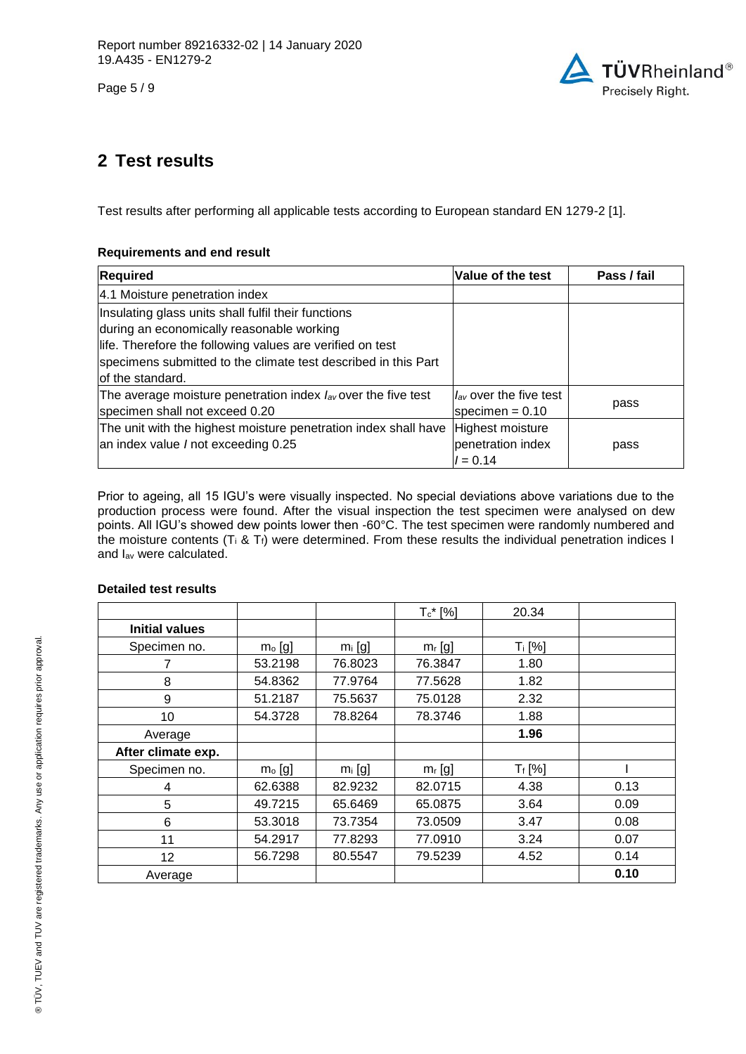Page 5 / 9



## **2 Test results**

Test results after performing all applicable tests according to European standard EN 1279-2 [1].

### **Requirements and end result**

| <b>Required</b>                                                    | Value of the test           | Pass / fail |
|--------------------------------------------------------------------|-----------------------------|-------------|
| 4.1 Moisture penetration index                                     |                             |             |
| Insulating glass units shall fulfil their functions                |                             |             |
| during an economically reasonable working                          |                             |             |
| life. Therefore the following values are verified on test          |                             |             |
| specimens submitted to the climate test described in this Part     |                             |             |
| lof the standard.                                                  |                             |             |
| The average moisture penetration index $I_{av}$ over the five test | $I_{av}$ over the five test |             |
| specimen shall not exceed 0.20                                     | specimen = $0.10$           | pass        |
| The unit with the highest moisture penetration index shall have    | Highest moisture            |             |
| an index value / not exceeding 0.25                                | penetration index           | pass        |
|                                                                    | $l = 0.14$                  |             |

Prior to ageing, all 15 IGU's were visually inspected. No special deviations above variations due to the production process were found. After the visual inspection the test specimen were analysed on dew points. All IGU's showed dew points lower then -60°C. The test specimen were randomly numbered and the moisture contents (T<sub>i</sub> & T<sub>f</sub>) were determined. From these results the individual penetration indices I and Iav were calculated.

#### **Detailed test results**

|                       |          |           | $T_c$ * [%] | 20.34     |      |
|-----------------------|----------|-----------|-------------|-----------|------|
| <b>Initial values</b> |          |           |             |           |      |
| Specimen no.          | $mo$ [g] | $m_i$ [g] | $m_r$ [g]   | $T_i$ [%] |      |
| 7                     | 53.2198  | 76.8023   | 76.3847     | 1.80      |      |
| 8                     | 54.8362  | 77.9764   | 77.5628     | 1.82      |      |
| 9                     | 51.2187  | 75.5637   | 75.0128     | 2.32      |      |
| 10                    | 54.3728  | 78.8264   | 78.3746     | 1.88      |      |
| Average               |          |           |             | 1.96      |      |
| After climate exp.    |          |           |             |           |      |
| Specimen no.          | $mo$ [g] | $m_i$ [g] | $m_r$ [g]   | $T_f [%]$ |      |
| 4                     | 62.6388  | 82.9232   | 82.0715     | 4.38      | 0.13 |
| 5                     | 49.7215  | 65.6469   | 65.0875     | 3.64      | 0.09 |
| 6                     | 53.3018  | 73.7354   | 73.0509     | 3.47      | 0.08 |
| 11                    | 54.2917  | 77.8293   | 77.0910     | 3.24      | 0.07 |
| 12                    | 56.7298  | 80.5547   | 79.5239     | 4.52      | 0.14 |
| Average               |          |           |             |           | 0.10 |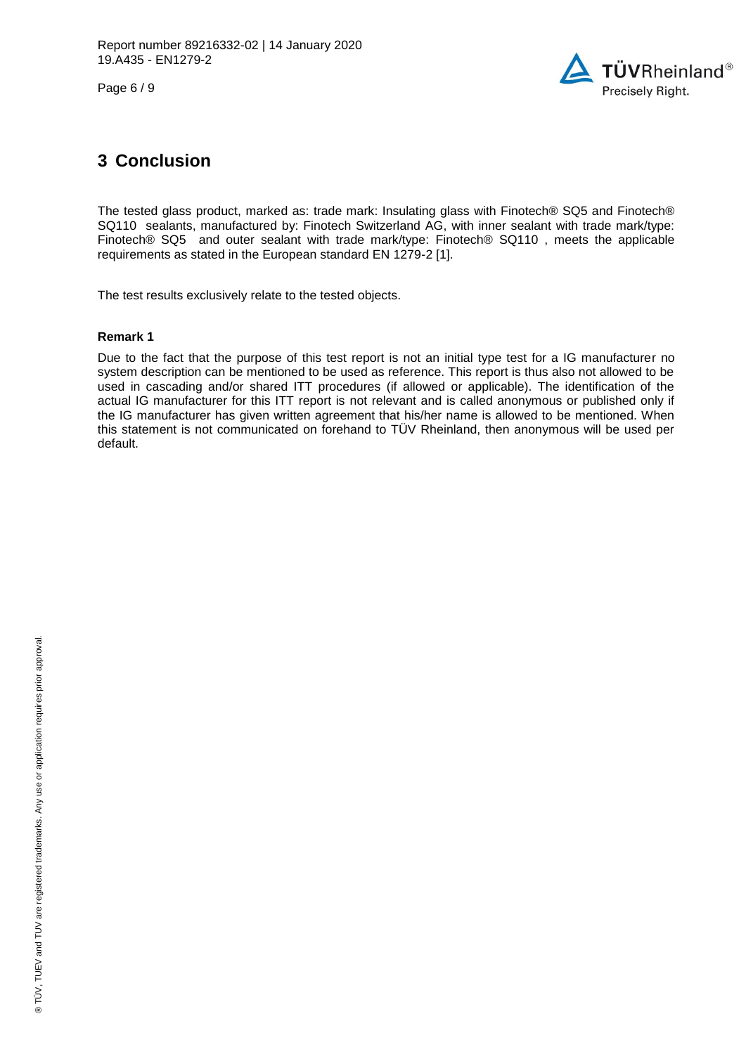Page 6 / 9



## **3 Conclusion**

The tested glass product, marked as: trade mark: [Insulating glass](#page-0-7) with [Finotech® SQ5 and Finotech®](#page-0-8)  [SQ110 sealants,](#page-0-8) manufactured by: [Finotech Switzerland AG,](#page-0-3) with inner sealant with trade mark/type: [Finotech® SQ5](#page-2-0) and outer sealant with trade mark/type: [Finotech® SQ110 ,](#page-2-1) meets the applicable requirements as stated in the European standard EN 1279-2 [1].

The test results exclusively relate to the tested objects.

#### **Remark 1**

Due to the fact that the purpose of this test report is not an initial type test for a IG manufacturer no system description can be mentioned to be used as reference. This report is thus also not allowed to be used in cascading and/or shared ITT procedures (if allowed or applicable). The identification of the actual IG manufacturer for this ITT report is not relevant and is called anonymous or published only if the IG manufacturer has given written agreement that his/her name is allowed to be mentioned. When this statement is not communicated on forehand to TÜV Rheinland, then anonymous will be used per default.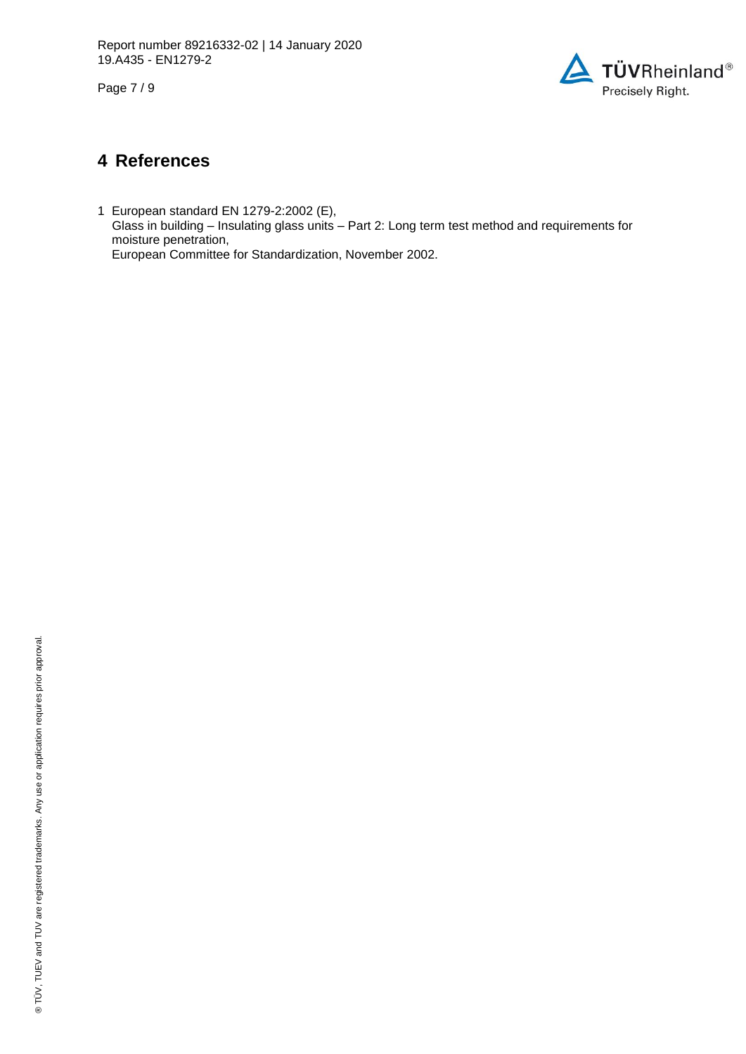Page 7 / 9



### **4 References**

1 European standard EN 1279-2:2002 (E), Glass in building – Insulating glass units – Part 2: Long term test method and requirements for moisture penetration, European Committee for Standardization, November 2002.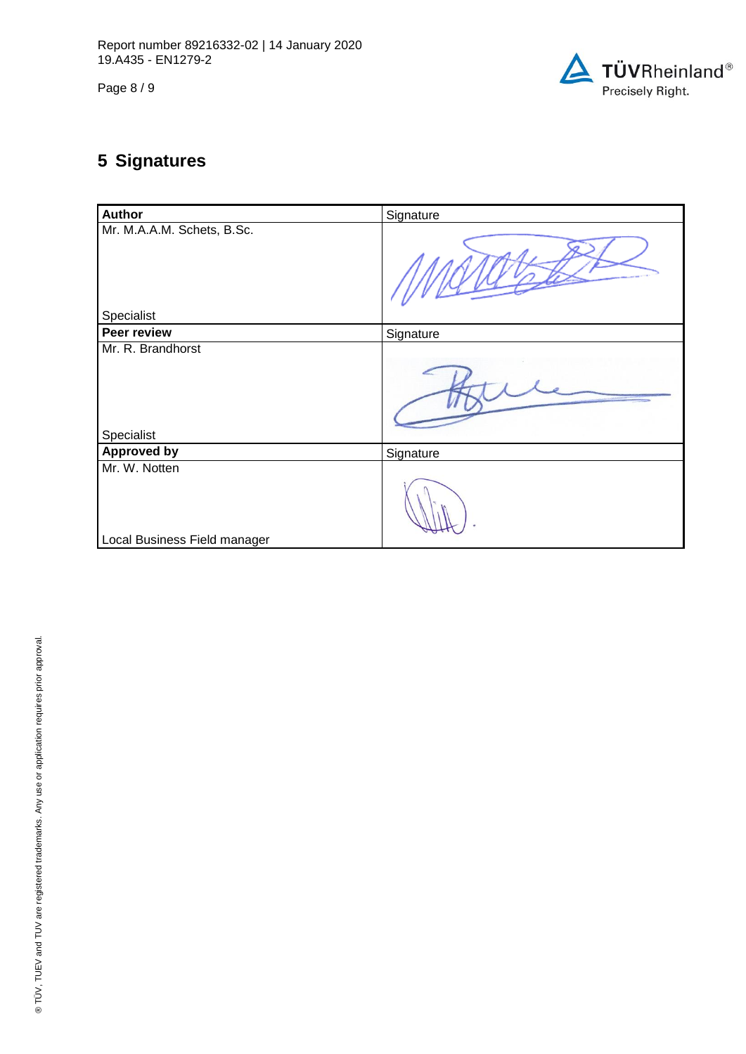Page 8 / 9



# **5 Signatures**

| <b>Author</b>                            | Signature |
|------------------------------------------|-----------|
| Mr. M.A.A.M. Schets, B.Sc.<br>Specialist |           |
| Peer review                              | Signature |
| Mr. R. Brandhorst                        |           |
| Specialist                               |           |
| <b>Approved by</b>                       | Signature |
| Mr. W. Notten                            |           |
| Local Business Field manager             |           |